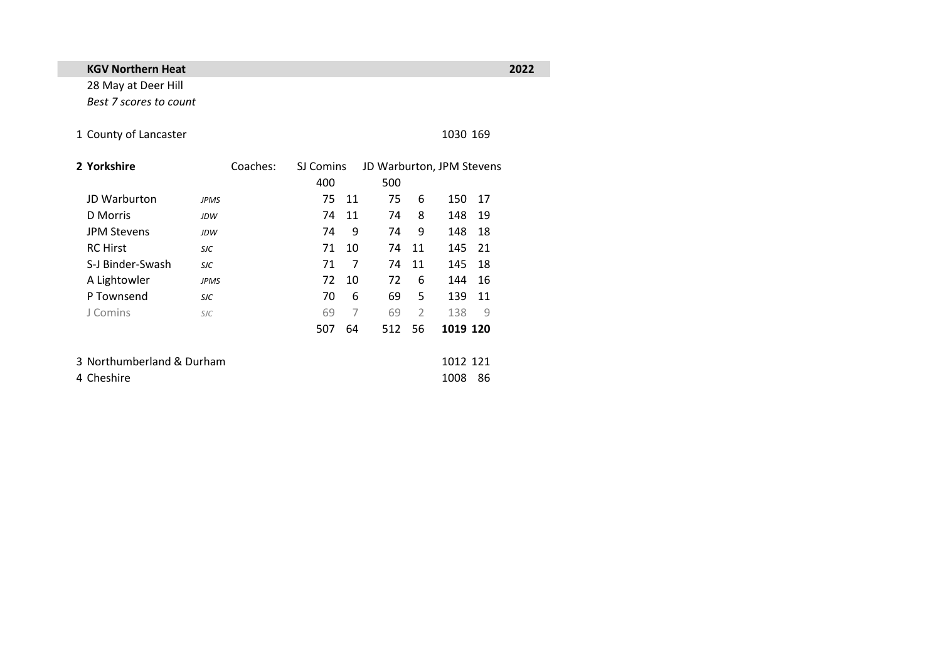## **KGV Northern Heat 2022**

28 May at Deer Hill *Best 7 scores to count*

## 1 County of Lancaster 1030 169

| 2 Yorkshire               |             | Coaches: | SJ Comins |    | JD Warburton, JPM Stevens |                |          |      |  |
|---------------------------|-------------|----------|-----------|----|---------------------------|----------------|----------|------|--|
|                           |             |          | 400       |    | 500                       |                |          |      |  |
| JD Warburton              | <b>JPMS</b> |          | 75        | 11 | 75                        | 6              | 150      | - 17 |  |
| <b>D</b> Morris           | <b>JDW</b>  |          | 74        | 11 | 74                        | 8              | 148      | 19   |  |
| <b>JPM Stevens</b>        | <b>JDW</b>  |          | 74        | 9  | 74                        | 9              | 148      | 18   |  |
| <b>RC</b> Hirst           | <b>SJC</b>  |          | 71        | 10 | 74                        | 11             | 145      | - 21 |  |
| S-J Binder-Swash          | <b>SJC</b>  |          | 71        | 7  | 74                        | 11             | 145      | 18   |  |
| A Lightowler              | <b>JPMS</b> |          | 72        | 10 | 72                        | 6              | 144      | 16   |  |
| P Townsend                | <b>SJC</b>  |          | 70        | 6  | 69                        | 5              | 139      | 11   |  |
| J Comins                  | <b>SJC</b>  |          | 69        | 7  | 69                        | $\overline{2}$ | 138      | 9    |  |
|                           |             |          | 507       | 64 | 512                       | 56             | 1019 120 |      |  |
| 3 Northumberland & Durham |             |          |           |    |                           |                | 1012 121 |      |  |
| 4 Cheshire                |             |          |           |    |                           |                | 1008     | 86   |  |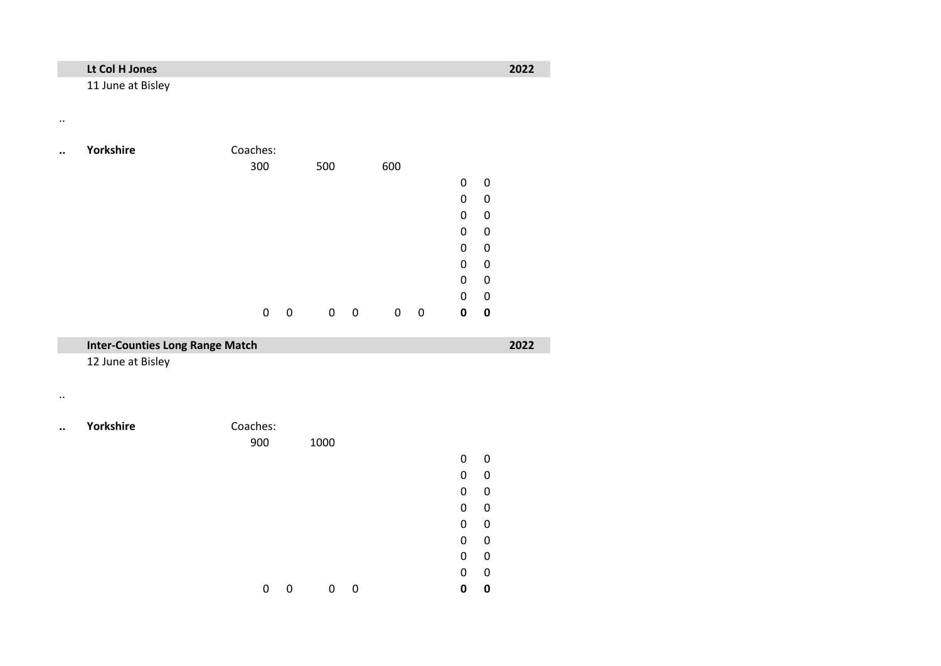## **Lt Col H Jones 2022**

..

11 June at Bisley

| <br>Yorkshire | Coaches: |   |     |             |     |   |   |   |  |
|---------------|----------|---|-----|-------------|-----|---|---|---|--|
|               | 300      |   | 500 |             | 600 |   |   |   |  |
|               |          |   |     |             |     |   | 0 | 0 |  |
|               |          |   |     |             |     |   | 0 | 0 |  |
|               |          |   |     |             |     |   | 0 | 0 |  |
|               |          |   |     |             |     |   | 0 | 0 |  |
|               |          |   |     |             |     |   | 0 | 0 |  |
|               |          |   |     |             |     |   | 0 | 0 |  |
|               |          |   |     |             |     |   | 0 | 0 |  |
|               |          |   |     |             |     |   | 0 | 0 |  |
|               | 0        | 0 | 0   | $\mathbf 0$ | 0   | 0 | 0 | 0 |  |

|                      | <b>Inter-Counties Long Range Match</b> |          |   |      |   |  |           |             |  |
|----------------------|----------------------------------------|----------|---|------|---|--|-----------|-------------|--|
|                      | 12 June at Bisley                      |          |   |      |   |  |           |             |  |
|                      |                                        |          |   |      |   |  |           |             |  |
| $\ddot{\phantom{a}}$ | Yorkshire                              | Coaches: |   |      |   |  |           |             |  |
|                      |                                        | 900      |   | 1000 |   |  |           |             |  |
|                      |                                        |          |   |      |   |  | $\pmb{0}$ | $\mathbf 0$ |  |
|                      |                                        |          |   |      |   |  | 0         | $\mathbf 0$ |  |
|                      |                                        |          |   |      |   |  | 0         | $\mathbf 0$ |  |
|                      |                                        |          |   |      |   |  | 0         | $\mathbf 0$ |  |
|                      |                                        |          |   |      |   |  | 0         | $\mathbf 0$ |  |
|                      |                                        |          |   |      |   |  | 0         | 0           |  |
|                      |                                        |          |   |      |   |  | 0         | $\mathbf 0$ |  |
|                      |                                        |          |   |      |   |  | 0         | $\mathbf 0$ |  |
|                      |                                        | 0        | 0 | 0    | 0 |  | 0         | 0           |  |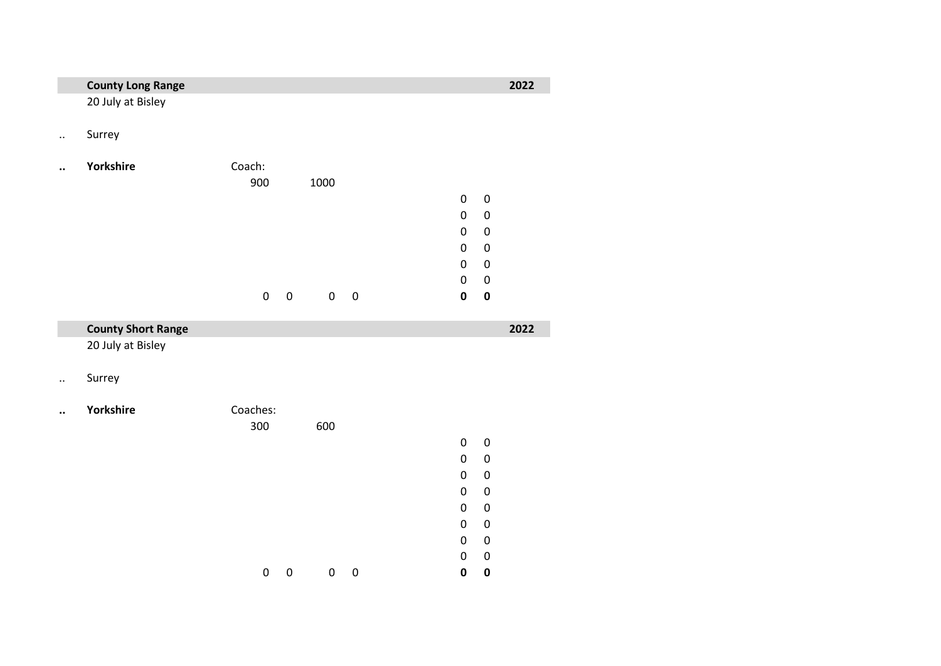|                      | <b>County Long Range</b>  |           |           |             |           |                          |                        | 2022 |
|----------------------|---------------------------|-----------|-----------|-------------|-----------|--------------------------|------------------------|------|
|                      | 20 July at Bisley         |           |           |             |           |                          |                        |      |
| $\ddot{\phantom{a}}$ | Surrey                    |           |           |             |           |                          |                        |      |
|                      | Yorkshire                 | Coach:    |           |             |           |                          |                        |      |
|                      |                           | 900       |           | 1000        |           |                          |                        |      |
|                      |                           |           |           |             |           | $\pmb{0}$                | $\boldsymbol{0}$       |      |
|                      |                           |           |           |             |           | $\mathbf 0$              | $\pmb{0}$              |      |
|                      |                           |           |           |             |           | $\mathbf 0$              | $\boldsymbol{0}$       |      |
|                      |                           |           |           |             |           | $\mathbf 0$              | $\boldsymbol{0}$       |      |
|                      |                           |           |           |             |           | $\mathbf 0$              | $\boldsymbol{0}$       |      |
|                      |                           |           |           |             |           | $\mathbf 0$              | $\mathbf 0$            |      |
|                      |                           | $\pmb{0}$ | $\pmb{0}$ | $\mathbf 0$ | $\pmb{0}$ | $\mathbf 0$              | $\pmb{0}$              |      |
|                      |                           |           |           |             |           |                          |                        |      |
|                      | <b>County Short Range</b> |           |           |             |           |                          |                        | 2022 |
|                      | 20 July at Bisley         |           |           |             |           |                          |                        |      |
| $\ddotsc$            | Surrey                    |           |           |             |           |                          |                        |      |
|                      | Yorkshire                 | Coaches:  |           |             |           |                          |                        |      |
|                      |                           | 300       |           | 600         |           |                          |                        |      |
|                      |                           |           |           |             |           | $\mathbf 0$              | $\pmb{0}$              |      |
|                      |                           |           |           |             |           | $\mathbf 0$              | $\boldsymbol{0}$       |      |
|                      |                           |           |           |             |           | $\mathbf 0$              | $\boldsymbol{0}$       |      |
|                      |                           |           |           |             |           | $\mathbf 0$              | $\boldsymbol{0}$       |      |
|                      |                           |           |           |             |           | $\mathbf 0$              | $\boldsymbol{0}$       |      |
|                      |                           |           |           |             |           | $\mathbf 0$              | $\boldsymbol{0}$       |      |
|                      |                           |           |           |             |           | $\mathbf 0$<br>$\pmb{0}$ | $\pmb{0}$<br>$\pmb{0}$ |      |

0 0 0 **0 0**